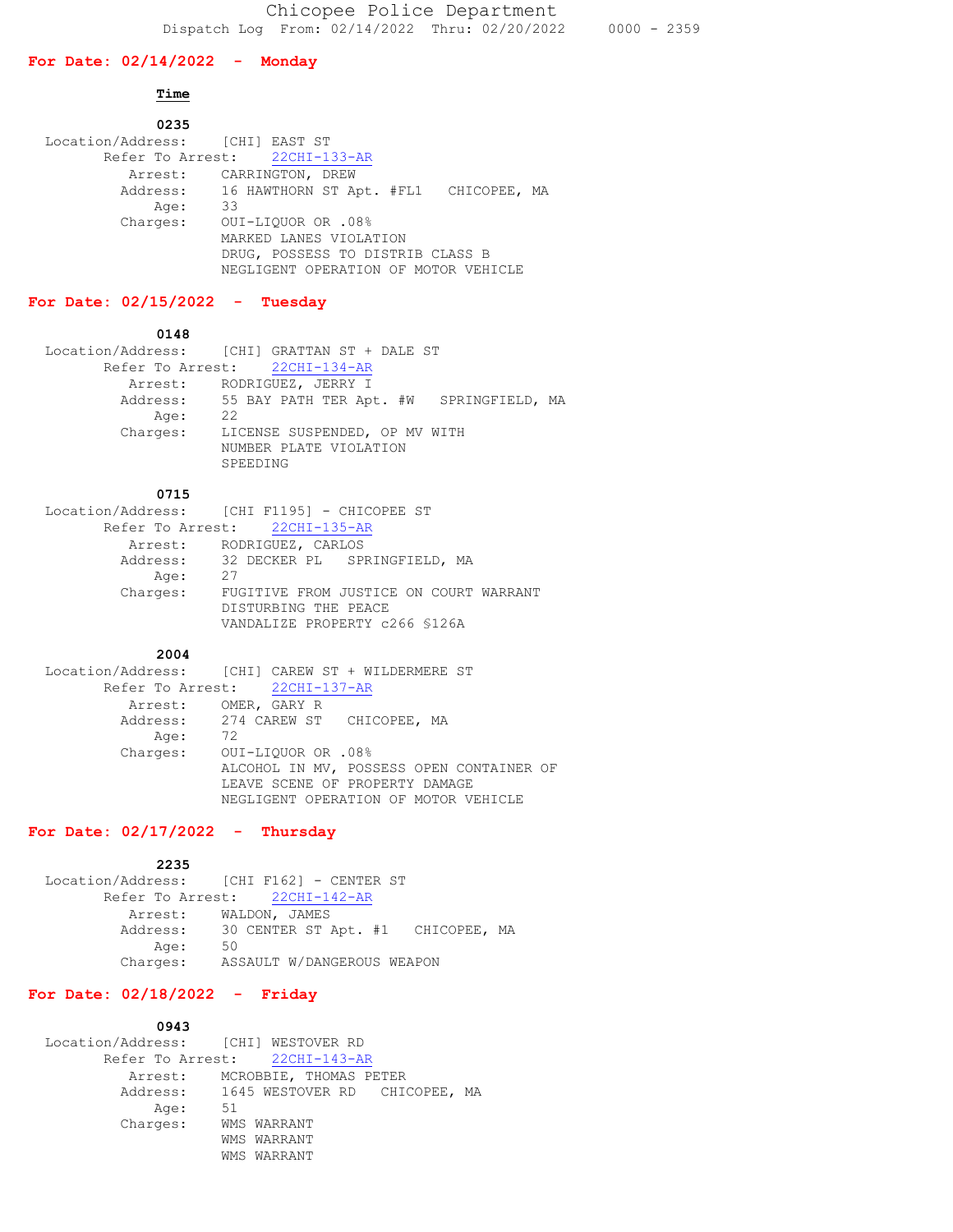### **For Date: 02/14/2022 - Monday**

## **Time**

| 0235                            |                                                |
|---------------------------------|------------------------------------------------|
| Location/Address: [CHI] EAST ST |                                                |
|                                 | Refer To Arrest: 22CHI-133-AR                  |
|                                 | Arrest: CARRINGTON, DREW                       |
|                                 | Address: 16 HAWTHORN ST Apt. #FL1 CHICOPEE, MA |
| Age:                            | 33                                             |
| Charges:                        | OUI-LIOUOR OR .08%                             |
|                                 | MARKED LANES VIOLATION                         |
|                                 | DRUG, POSSESS TO DISTRIB CLASS B               |
|                                 | NEGLIGENT OPERATION OF MOTOR VEHICLE           |

# **For Date: 02/15/2022 - Tuesday**

## **0148**

|          | Location/Address: [CHI] GRATTAN ST + DALE ST                        |
|----------|---------------------------------------------------------------------|
|          | Refer To Arrest: 22CHI-134-AR                                       |
|          | Arrest: RODRIGUEZ, JERRY I                                          |
|          | Address: 55 BAY PATH TER Apt. #W SPRINGFIELD, MA                    |
| Age:     | 22                                                                  |
| Charges: | LICENSE SUSPENDED, OP MV WITH<br>NUMBER PLATE VIOLATION<br>SPEEDING |

| 0715     |                                             |
|----------|---------------------------------------------|
|          | Location/Address: [CHI F1195] - CHICOPEE ST |
|          | Refer To Arrest: 22CHI-135-AR               |
|          | Arrest: RODRIGUEZ, CARLOS                   |
|          | Address: 32 DECKER PL SPRINGFIELD, MA       |
| Age:     | -27                                         |
| Charges: | FUGITIVE FROM JUSTICE ON COURT WARRANT      |
|          | DISTURBING THE PEACE                        |
|          | VANDALIZE PROPERTY c266 \$126A              |

#### **2004**

|          | Location/Address: [CHI] CAREW ST + WILDERMERE ST |
|----------|--------------------------------------------------|
|          | Refer To Arrest: 22CHI-137-AR                    |
|          | Arrest: OMER, GARY R                             |
|          | Address: 274 CAREW ST CHICOPEE, MA               |
| Age:     | 72                                               |
| Charges: | 00I-LIOUOR OR .08%                               |
|          | ALCOHOL IN MV, POSSESS OPEN CONTAINER OF         |
|          | LEAVE SCENE OF PROPERTY DAMAGE                   |
|          | NEGLIGENT OPERATION OF MOTOR VEHICLE             |

# **For Date: 02/17/2022 - Thursday**

```
ا 2235 مارساندار باشتراكت با باشتراكت باشتراكت باشتراكت باشتراكت باشتراكت باشتراكت باشتراكت باشتراكت باشتراكت<br>التوليد التي توقع التي توقع التي توقع التي توقع التي توقع التي توقع التي توقع التي توقع التي توقع التي توقع ال
 Location/Address: [CHI F162] - CENTER ST
             Refer To Arrest: 22CHI-142-AR
                 Arrest: WALDON, JAMES
Address: 30 CENTER ST Apt. #1 CHICOPEE, MA
 Age: 50
 Charges: ASSAULT W/DANGEROUS WEAPON
```
## **For Date: 02/18/2022 - Friday**

### **0943**

|          | Location/Address: [CHI] WESTOVER RD    |  |
|----------|----------------------------------------|--|
|          | Refer To Arrest: 22CHI-143-AR          |  |
|          | Arrest: MCROBBIE, THOMAS PETER         |  |
|          | Address: 1645 WESTOVER RD CHICOPEE, MA |  |
| Age:     | 51                                     |  |
| Charges: | WMS WARRANT                            |  |
|          | WMS WARRANT                            |  |
|          | WMS WARRANT                            |  |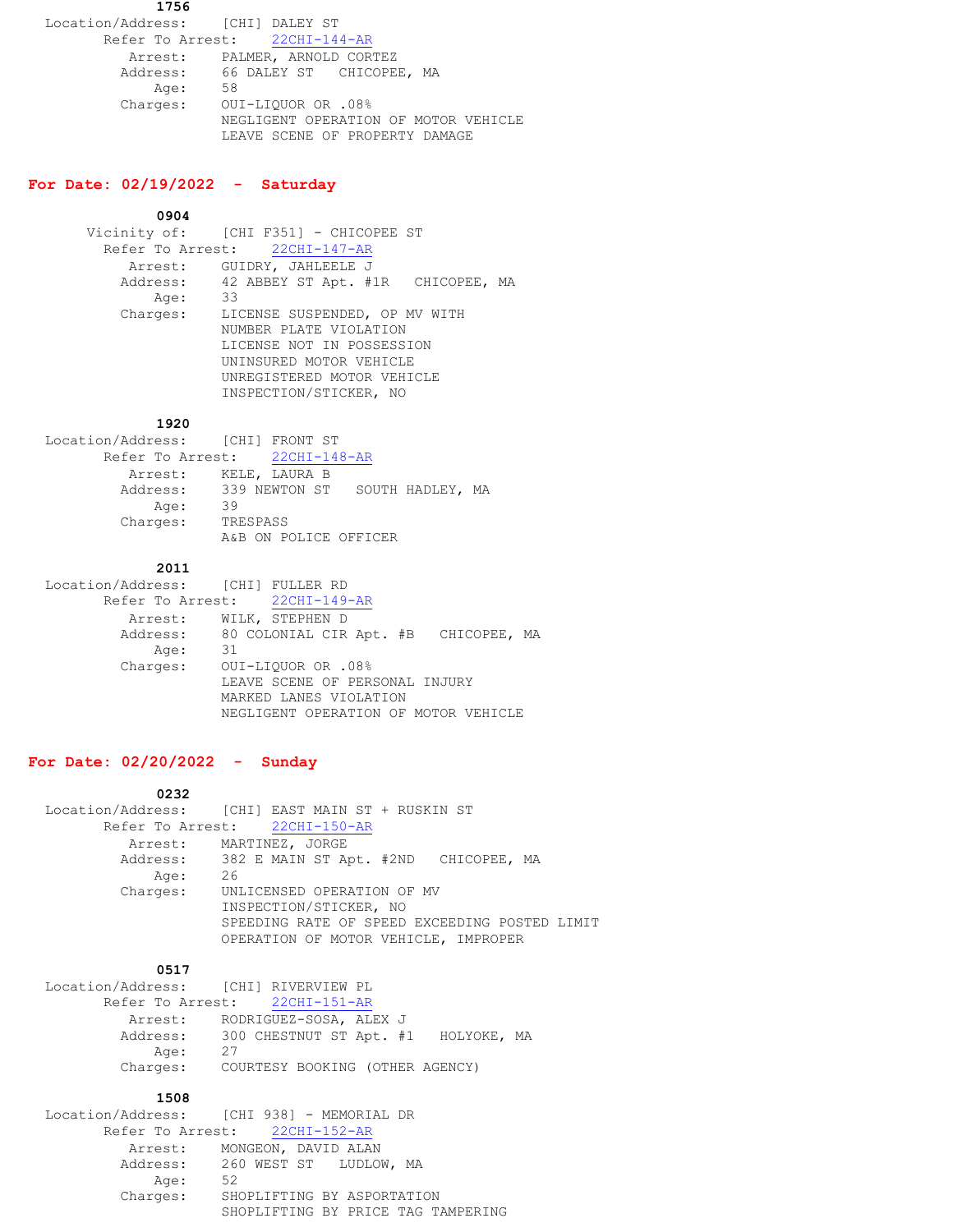**1756** Location/Address: [CHI] DALEY ST Refer To Arrest: 22CHI-144-AR Arrest: PALMER, ARNOLD CORTEZ Address: 66 DALEY ST CHICOPEE, MA Age: 58 Charges: OUI-LIQUOR OR .08% NEGLIGENT OPERATION OF MOTOR VEHICLE LEAVE SCENE OF PROPERTY DAMAGE

# **For Date: 02/19/2022 - Saturday**

 **0904**

Vicinity of: [CHI F351] - CHICOPEE ST Refer To Arrest: 22CHI-147-AR Arrest: GUIDRY, JAHLEELE J Address: 42 ABBEY ST Apt. #1R CHICOPEE, MA Age: 33 Charges: LICENSE SUSPENDED, OP MV WITH NUMBER PLATE VIOLATION LICENSE NOT IN POSSESSION UNINSURED MOTOR VEHICLE UNREGISTERED MOTOR VEHICLE INSPECTION/STICKER, NO

#### **1920**

| Location/Address: [CHI] FRONT ST        |          |               |                |  |
|-----------------------------------------|----------|---------------|----------------|--|
| Refer To Arrest: 22CHI-148-AR           |          |               |                |  |
| Arrest:                                 |          | KELE, LAURA B |                |  |
| Address: 339 NEWTON ST SOUTH HADLEY, MA |          |               |                |  |
| Age:                                    | 39       |               |                |  |
| Charges:                                | TRESPASS |               |                |  |
|                                         | A&B      |               | POLICE OFFICER |  |

#### **2011**

| Location/Address: [CHI] FULLER RD |                                               |
|-----------------------------------|-----------------------------------------------|
|                                   | Refer To Arrest: 22CHI-149-AR                 |
|                                   | Arrest: WILK, STEPHEN D                       |
|                                   | Address: 80 COLONIAL CIR Apt. #B CHICOPEE, MA |
| Aqe:                              | 31                                            |
| Charges:                          | OUI-LIOUOR OR .08%                            |
|                                   | LEAVE SCENE OF PERSONAL INJURY                |
|                                   | MARKED LANES VIOLATION                        |
|                                   | NEGLIGENT OPERATION OF MOTOR VEHICLE          |

### **For Date: 02/20/2022 - Sunday**

|          | Location/Address: [CHI] EAST MAIN ST + RUSKIN ST |
|----------|--------------------------------------------------|
|          | Refer To Arrest: 22CHI-150-AR                    |
|          | Arrest: MARTINEZ, JORGE                          |
|          | Address: 382 E MAIN ST Apt. #2ND CHICOPEE, MA    |
| Age:     | 26                                               |
| Charges: | UNLICENSED OPERATION OF MV                       |
|          | INSPECTION/STICKER, NO                           |
|          | SPEEDING RATE OF SPEED EXCEEDING POSTED LIMIT    |
|          | OPERATION OF MOTOR VEHICLE, IMPROPER             |
|          |                                                  |

#### **1217 1217**

| Location/Address: [CHI] RIVERVIEW PL |                                              |  |
|--------------------------------------|----------------------------------------------|--|
|                                      | Refer To Arrest: 22CHI-151-AR                |  |
|                                      | Arrest: RODRIGUEZ-SOSA, ALEX J               |  |
|                                      | Address: 300 CHESTNUT ST Apt. #1 HOLYOKE, MA |  |
| Age:                                 | -27                                          |  |
|                                      | Charges: COURTESY BOOKING (OTHER AGENCY)     |  |
|                                      |                                              |  |

#### **1508**

| Location/Address: [CHI 938] - MEMORIAL DR |                                    |
|-------------------------------------------|------------------------------------|
| Refer To Arrest: 22CHI-152-AR             |                                    |
| Arrest: MONGEON, DAVID ALAN               |                                    |
|                                           | Address: 260 WEST ST LUDLOW, MA    |
| 52<br>Age:                                |                                    |
| Charges:                                  | SHOPLIFTING BY ASPORTATION         |
|                                           | SHOPLIFTING BY PRICE TAG TAMPERING |